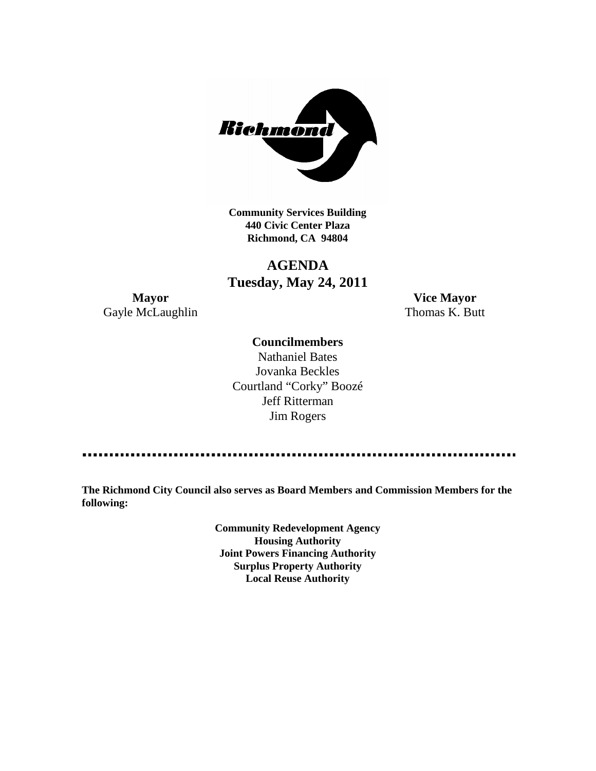

**Community Services Building 440 Civic Center Plaza Richmond, CA 94804**

# **AGENDA Tuesday, May 24, 2011**

**Mayor Vice Mayor** Gayle McLaughlin Thomas K. Butt

## **Councilmembers**

Nathaniel Bates Jovanka Beckles Courtland "Corky" Boozé Jeff Ritterman Jim Rogers

**The Richmond City Council also serves as Board Members and Commission Members for the following:**

> **Community Redevelopment Agency Housing Authority Joint Powers Financing Authority Surplus Property Authority Local Reuse Authority**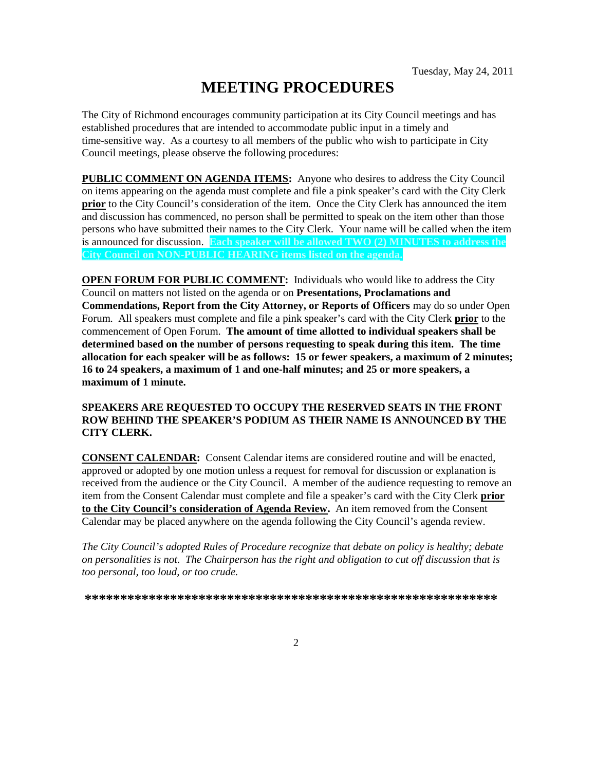# **MEETING PROCEDURES**

The City of Richmond encourages community participation at its City Council meetings and has established procedures that are intended to accommodate public input in a timely and time-sensitive way. As a courtesy to all members of the public who wish to participate in City Council meetings, please observe the following procedures:

**PUBLIC COMMENT ON AGENDA ITEMS:** Anyone who desires to address the City Council on items appearing on the agenda must complete and file a pink speaker's card with the City Clerk **prior** to the City Council's consideration of the item. Once the City Clerk has announced the item and discussion has commenced, no person shall be permitted to speak on the item other than those persons who have submitted their names to the City Clerk. Your name will be called when the item is announced for discussion. **Each speaker will be allowed TWO (2) MINUTES to address the City Council on NON-PUBLIC HEARING items listed on the agenda.**

**OPEN FORUM FOR PUBLIC COMMENT:** Individuals who would like to address the City Council on matters not listed on the agenda or on **Presentations, Proclamations and Commendations, Report from the City Attorney, or Reports of Officers** may do so under Open Forum. All speakers must complete and file a pink speaker's card with the City Clerk **prior** to the commencement of Open Forum. **The amount of time allotted to individual speakers shall be determined based on the number of persons requesting to speak during this item. The time allocation for each speaker will be as follows: 15 or fewer speakers, a maximum of 2 minutes; 16 to 24 speakers, a maximum of 1 and one-half minutes; and 25 or more speakers, a maximum of 1 minute.**

### **SPEAKERS ARE REQUESTED TO OCCUPY THE RESERVED SEATS IN THE FRONT ROW BEHIND THE SPEAKER'S PODIUM AS THEIR NAME IS ANNOUNCED BY THE CITY CLERK.**

**CONSENT CALENDAR:** Consent Calendar items are considered routine and will be enacted, approved or adopted by one motion unless a request for removal for discussion or explanation is received from the audience or the City Council. A member of the audience requesting to remove an item from the Consent Calendar must complete and file a speaker's card with the City Clerk **prior to the City Council's consideration of Agenda Review.** An item removed from the Consent Calendar may be placed anywhere on the agenda following the City Council's agenda review.

*The City Council's adopted Rules of Procedure recognize that debate on policy is healthy; debate on personalities is not. The Chairperson has the right and obligation to cut off discussion that is too personal, too loud, or too crude.*

**\*\*\*\*\*\*\*\*\*\*\*\*\*\*\*\*\*\*\*\*\*\*\*\*\*\*\*\*\*\*\*\*\*\*\*\*\*\*\*\*\*\*\*\*\*\*\*\*\*\*\*\*\*\*\*\*\*\***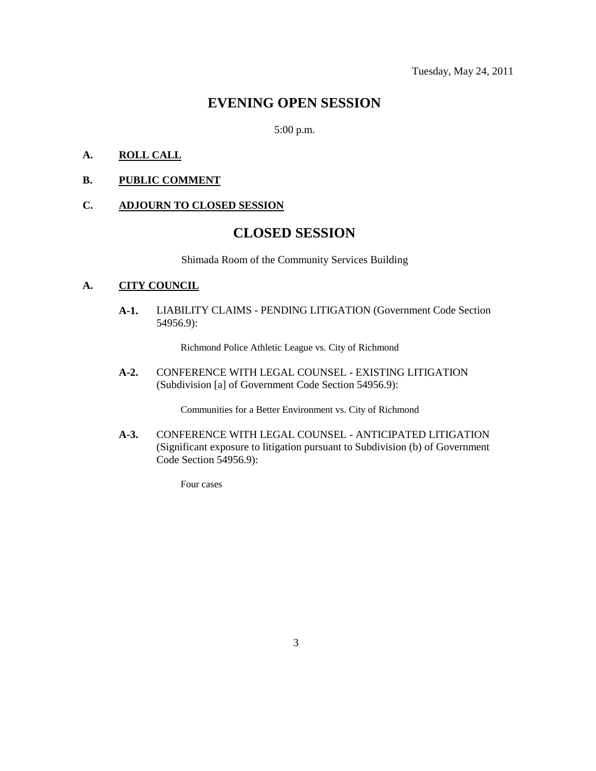# **EVENING OPEN SESSION**

5:00 p.m.

## **A. ROLL CALL**

#### **B. PUBLIC COMMENT**

# **C. ADJOURN TO CLOSED SESSION**

# **CLOSED SESSION**

Shimada Room of the Community Services Building

### **A. CITY COUNCIL**

**A-1.** LIABILITY CLAIMS - PENDING LITIGATION (Government Code Section 54956.9):

Richmond Police Athletic League vs. City of Richmond

**A-2.** CONFERENCE WITH LEGAL COUNSEL - EXISTING LITIGATION (Subdivision [a] of Government Code Section 54956.9):

Communities for a Better Environment vs. City of Richmond

**A-3.** CONFERENCE WITH LEGAL COUNSEL - ANTICIPATED LITIGATION (Significant exposure to litigation pursuant to Subdivision (b) of Government Code Section 54956.9):

Four cases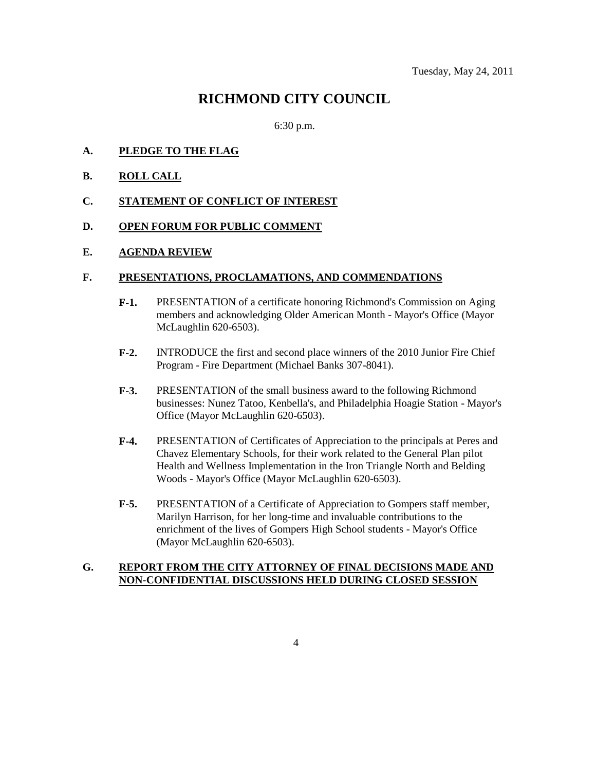# **RICHMOND CITY COUNCIL**

6:30 p.m.

- **A. PLEDGE TO THE FLAG**
- **B. ROLL CALL**
- **C. STATEMENT OF CONFLICT OF INTEREST**

#### **D. OPEN FORUM FOR PUBLIC COMMENT**

#### **E. AGENDA REVIEW**

#### **F. PRESENTATIONS, PROCLAMATIONS, AND COMMENDATIONS**

- **F-1.** PRESENTATION of a certificate honoring Richmond's Commission on Aging members and acknowledging Older American Month - Mayor's Office (Mayor McLaughlin 620-6503).
- **F-2.** INTRODUCE the first and second place winners of the 2010 Junior Fire Chief Program - Fire Department (Michael Banks 307-8041).
- **F-3.** PRESENTATION of the small business award to the following Richmond businesses: Nunez Tatoo, Kenbella's, and Philadelphia Hoagie Station - Mayor's Office (Mayor McLaughlin 620-6503).
- **F-4.** PRESENTATION of Certificates of Appreciation to the principals at Peres and Chavez Elementary Schools, for their work related to the General Plan pilot Health and Wellness Implementation in the Iron Triangle North and Belding Woods - Mayor's Office (Mayor McLaughlin 620-6503).
- **F-5.** PRESENTATION of a Certificate of Appreciation to Gompers staff member, Marilyn Harrison, for her long-time and invaluable contributions to the enrichment of the lives of Gompers High School students - Mayor's Office (Mayor McLaughlin 620-6503).

#### **G. REPORT FROM THE CITY ATTORNEY OF FINAL DECISIONS MADE AND NON-CONFIDENTIAL DISCUSSIONS HELD DURING CLOSED SESSION**